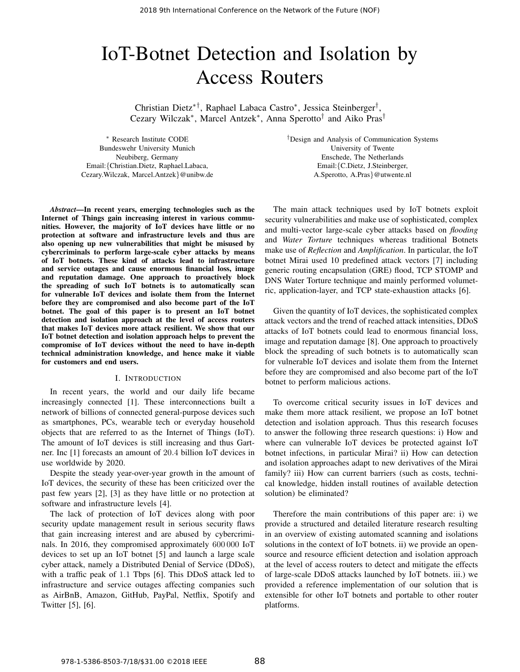# IoT-Botnet Detection and Isolation by Access Routers

Christian Dietz∗†, Raphael Labaca Castro<sup>∗</sup> , Jessica Steinberger† , Cezary Wilczak<sup>∗</sup> , Marcel Antzek<sup>∗</sup> , Anna Sperotto† and Aiko Pras†

Bundeswehr University Munich Email:{Christian.Dietz, Raphael.Labaca, Email:{C.Dietz, J.Steinberger, Cezary.Wilczak, Marcel.Antzek}@unibw.de A.Sperotto, A.Pras}@utwente.nl

*Abstract*—In recent years, emerging technologies such as the Internet of Things gain increasing interest in various communities. However, the majority of IoT devices have little or no protection at software and infrastructure levels and thus are also opening up new vulnerabilities that might be misused by cybercriminals to perform large-scale cyber attacks by means of IoT botnets. These kind of attacks lead to infrastructure and service outages and cause enormous financial loss, image and reputation damage. One approach to proactively block the spreading of such IoT botnets is to automatically scan for vulnerable IoT devices and isolate them from the Internet before they are compromised and also become part of the IoT botnet. The goal of this paper is to present an IoT botnet detection and isolation approach at the level of access routers that makes IoT devices more attack resilient. We show that our IoT botnet detection and isolation approach helps to prevent the compromise of IoT devices without the need to have in-depth technical administration knowledge, and hence make it viable for customers and end users.

### I. INTRODUCTION

In recent years, the world and our daily life became increasingly connected [1]. These interconnections built a network of billions of connected general-purpose devices such as smartphones, PCs, wearable tech or everyday household objects that are referred to as the Internet of Things (IoT). The amount of IoT devices is still increasing and thus Gartner. Inc [1] forecasts an amount of 20.4 billion IoT devices in use worldwide by 2020.

Despite the steady year-over-year growth in the amount of IoT devices, the security of these has been criticized over the past few years [2], [3] as they have little or no protection at software and infrastructure levels [4].

The lack of protection of IoT devices along with poor security update management result in serious security flaws that gain increasing interest and are abused by cybercriminals. In 2016, they compromised approximately 600 000 IoT devices to set up an IoT botnet [5] and launch a large scale cyber attack, namely a Distributed Denial of Service (DDoS), with a traffic peak of 1.1 Tbps [6]. This DDoS attack led to infrastructure and service outages affecting companies such as AirBnB, Amazon, GitHub, PayPal, Netflix, Spotify and Twitter [5], [6].

<sup>∗</sup> Research Institute CODE †Design and Analysis of Communication Systems Neubiberg, Germany Enschede, The Netherlands

> The main attack techniques used by IoT botnets exploit security vulnerabilities and make use of sophisticated, complex and multi-vector large-scale cyber attacks based on *flooding* and *Water Torture* techniques whereas traditional Botnets make use of *Reflection* and *Amplification*. In particular, the IoT botnet Mirai used 10 predefined attack vectors [7] including generic routing encapsulation (GRE) flood, TCP STOMP and DNS Water Torture technique and mainly performed volumetric, application-layer, and TCP state-exhaustion attacks [6].

> Given the quantity of IoT devices, the sophisticated complex attack vectors and the trend of reached attack intensities, DDoS attacks of IoT botnets could lead to enormous financial loss, image and reputation damage [8]. One approach to proactively block the spreading of such botnets is to automatically scan for vulnerable IoT devices and isolate them from the Internet before they are compromised and also become part of the IoT botnet to perform malicious actions.

> To overcome critical security issues in IoT devices and make them more attack resilient, we propose an IoT botnet detection and isolation approach. Thus this research focuses to answer the following three research questions: i) How and where can vulnerable IoT devices be protected against IoT botnet infections, in particular Mirai? ii) How can detection and isolation approaches adapt to new derivatives of the Mirai family? iii) How can current barriers (such as costs, technical knowledge, hidden install routines of available detection solution) be eliminated?

> Therefore the main contributions of this paper are: i) we provide a structured and detailed literature research resulting in an overview of existing automated scanning and isolations solutions in the context of IoT botnets. ii) we provide an opensource and resource efficient detection and isolation approach at the level of access routers to detect and mitigate the effects of large-scale DDoS attacks launched by IoT botnets. iii.) we provided a reference implementation of our solution that is extensible for other IoT botnets and portable to other router platforms.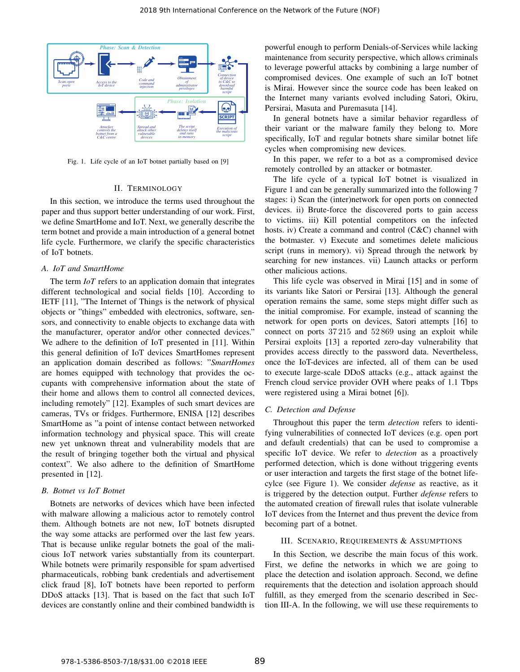

Fig. 1. Life cycle of an IoT botnet partially based on [9]

# II. TERMINOLOGY

In this section, we introduce the terms used throughout the paper and thus support better understanding of our work. First, we define SmartHome and IoT. Next, we generally describe the term botnet and provide a main introduction of a general botnet life cycle. Furthermore, we clarify the specific characteristics of IoT botnets.

#### *A. IoT and SmartHome*

The term *IoT* refers to an application domain that integrates different technological and social fields [10]. According to IETF [11], "The Internet of Things is the network of physical objects or "things" embedded with electronics, software, sensors, and connectivity to enable objects to exchange data with the manufacturer, operator and/or other connected devices." We adhere to the definition of IoT presented in [11]. Within this general definition of IoT devices SmartHomes represent an application domain described as follows: "*SmartHomes* are homes equipped with technology that provides the occupants with comprehensive information about the state of their home and allows them to control all connected devices, including remotely" [12]. Examples of such smart devices are cameras, TVs or fridges. Furthermore, ENISA [12] describes SmartHome as "a point of intense contact between networked information technology and physical space. This will create new yet unknown threat and vulnerability models that are the result of bringing together both the virtual and physical context". We also adhere to the definition of SmartHome presented in [12].

## *B. Botnet vs IoT Botnet*

Botnets are networks of devices which have been infected with malware allowing a malicious actor to remotely control them. Although botnets are not new, IoT botnets disrupted the way some attacks are performed over the last few years. That is because unlike regular botnets the goal of the malicious IoT network varies substantially from its counterpart. While botnets were primarily responsible for spam advertised pharmaceuticals, robbing bank credentials and advertisement click fraud [8], IoT botnets have been reported to perform DDoS attacks [13]. That is based on the fact that such IoT devices are constantly online and their combined bandwidth is powerful enough to perform Denials-of-Services while lacking maintenance from security perspective, which allows criminals to leverage powerful attacks by combining a large number of compromised devices. One example of such an IoT botnet is Mirai. However since the source code has been leaked on the Internet many variants evolved including Satori, Okiru, Persirai, Masuta and Puremasuta [14].

In general botnets have a similar behavior regardless of their variant or the malware family they belong to. More specifically, IoT and regular botnets share similar botnet life cycles when compromising new devices.

In this paper, we refer to a bot as a compromised device remotely controlled by an attacker or botmaster.

The life cycle of a typical IoT botnet is visualized in Figure 1 and can be generally summarized into the following 7 stages: i) Scan the (inter)network for open ports on connected devices. ii) Brute-force the discovered ports to gain access to victims. iii) Kill potential competitors on the infected hosts. iv) Create a command and control (C&C) channel with the botmaster. v) Execute and sometimes delete malicious script (runs in memory). vi) Spread through the network by searching for new instances. vii) Launch attacks or perform other malicious actions.

This life cycle was observed in Mirai [15] and in some of its variants like Satori or Persirai [13]. Although the general operation remains the same, some steps might differ such as the initial compromise. For example, instead of scanning the network for open ports on devices, Satori attempts [16] to connect on ports 37 215 and 52 869 using an exploit while Persirai exploits [13] a reported zero-day vulnerability that provides access directly to the password data. Nevertheless, once the IoT-devices are infected, all of them can be used to execute large-scale DDoS attacks (e.g., attack against the French cloud service provider OVH where peaks of 1.1 Tbps were registered using a Mirai botnet [6]).

# *C. Detection and Defense*

Throughout this paper the term *detection* refers to identifying vulnerabilities of connected IoT devices (e.g. open port and default credentials) that can be used to compromise a specific IoT device. We refer to *detection* as a proactively performed detection, which is done without triggering events or user interaction and targets the first stage of the botnet lifecylce (see Figure 1). We consider *defense* as reactive, as it is triggered by the detection output. Further *defense* refers to the automated creation of firewall rules that isolate vulnerable IoT devices from the Internet and thus prevent the device from becoming part of a botnet.

# III. SCENARIO, REQUIREMENTS & ASSUMPTIONS

In this Section, we describe the main focus of this work. First, we define the networks in which we are going to place the detection and isolation approach. Second, we define requirements that the detection and isolation approach should fulfill, as they emerged from the scenario described in Section III-A. In the following, we will use these requirements to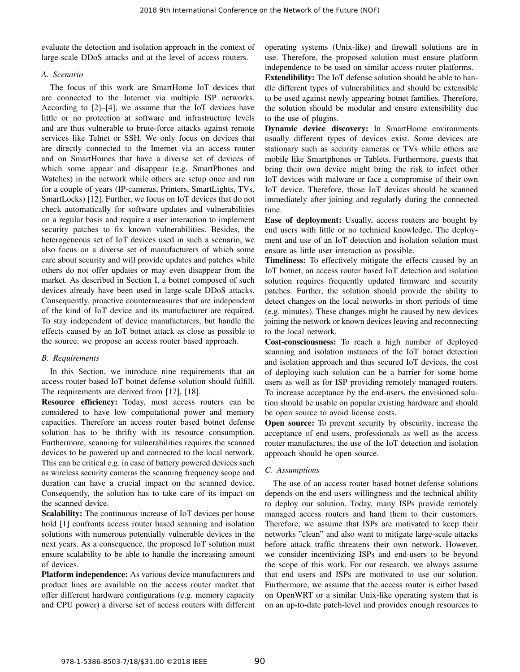evaluate the detection and isolation approach in the context of large-scale DDoS attacks and at the level of access routers.

# *A. Scenario*

The focus of this work are SmartHome IoT devices that are connected to the Internet via multiple ISP networks. According to [2]–[4], we assume that the IoT devices have little or no protection at software and infrastructure levels and are thus vulnerable to brute-force attacks against remote services like Telnet or SSH. We only focus on devices that are directly connected to the Internet via an access router and on SmartHomes that have a diverse set of devices of which some appear and disappear (e.g. SmartPhones and Watches) in the network while others are setup once and run for a couple of years (IP-cameras, Printers, SmartLights, TVs, SmartLocks) [12]. Further, we focus on IoT devices that do not check automatically for software updates and vulnerabilities on a regular basis and require a user interaction to implement security patches to fix known vulnerabilities. Besides, the heterogeneous set of IoT devices used in such a scenario, we also focus on a diverse set of manufacturers of which some care about security and will provide updates and patches while others do not offer updates or may even disappear from the market. As described in Section I, a botnet composed of such devices already have been used in large-scale DDoS attacks. Consequently, proactive countermeasures that are independent of the kind of IoT device and its manufacturer are required. To stay independent of device manufacturers, but handle the effects caused by an IoT botnet attack as close as possible to the source, we propose an access router based approach.

# *B. Requirements*

In this Section, we introduce nine requirements that an access router based IoT botnet defense solution should fulfill. The requirements are derived from [17], [18].

Resource efficiency: Today, most access routers can be considered to have low computational power and memory capacities. Therefore an access router based botnet defense solution has to be thrifty with its resource consumption. Furthermore, scanning for vulnerabilities requires the scanned devices to be powered up and connected to the local network. This can be critical e.g. in case of battery powered devices such as wireless security cameras the scanning frequency scope and duration can have a crucial impact on the scanned device. Consequently, the solution has to take care of its impact on the scanned device.

Scalability: The continuous increase of IoT devices per house hold [1] confronts access router based scanning and isolation solutions with numerous potentially vulnerable devices in the next years. As a consequence, the proposed IoT solution must ensure scalability to be able to handle the increasing amount of devices.

Platform independence: As various device manufacturers and product lines are available on the access router market that offer different hardware configurations (e.g. memory capacity and CPU power) a diverse set of access routers with different operating systems (Unix-like) and firewall solutions are in use. Therefore, the proposed solution must ensure platform independence to be used on similar access router platforms.

Extendibility: The IoT defense solution should be able to handle different types of vulnerabilities and should be extensible to be used against newly appearing botnet families. Therefore, the solution should be modular and ensure extensibility due to the use of plugins.

Dynamic device discovery: In SmartHome environments usually different types of devices exist. Some devices are stationary such as security cameras or TVs while others are mobile like Smartphones or Tablets. Furthermore, guests that bring their own device might bring the risk to infect other IoT devices with malware or face a compromise of their own IoT device. Therefore, those IoT devices should be scanned immediately after joining and regularly during the connected time.

Ease of deployment: Usually, access routers are bought by end users with little or no technical knowledge. The deployment and use of an IoT detection and isolation solution must ensure as little user interaction as possible.

Timeliness: To effectively mitigate the effects caused by an IoT botnet, an access router based IoT detection and isolation solution requires frequently updated firmware and security patches. Further, the solution should provide the ability to detect changes on the local networks in short periods of time (e.g. minutes). These changes might be caused by new devices joining the network or known devices leaving and reconnecting to the local network.

Cost-consciousness: To reach a high number of deployed scanning and isolation instances of the IoT botnet detection and isolation approach and thus secured IoT devices, the cost of deploying such solution can be a barrier for some home users as well as for ISP providing remotely managed routers. To increase acceptance by the end-users, the envisioned solution should be usable on popular existing hardware and should be open source to avoid license costs.

**Open source:** To prevent security by obscurity, increase the acceptance of end users, professionals as well as the access router manufactures, the use of the IoT detection and isolation approach should be open source.

# *C. Assumptions*

The use of an access router based botnet defense solutions depends on the end users willingness and the technical ability to deploy our solution. Today, many ISPs provide remotely managed access routers and hand them to their customers. Therefore, we assume that ISPs are motivated to keep their networks "clean" and also want to mitigate large-scale attacks before attack traffic threatens their own network. However, we consider incentivizing ISPs and end-users to be beyond the scope of this work. For our research, we always assume that end users and ISPs are motivated to use our solution. Furthermore, we assume that the access router is either based on OpenWRT or a similar Unix-like operating system that is on an up-to-date patch-level and provides enough resources to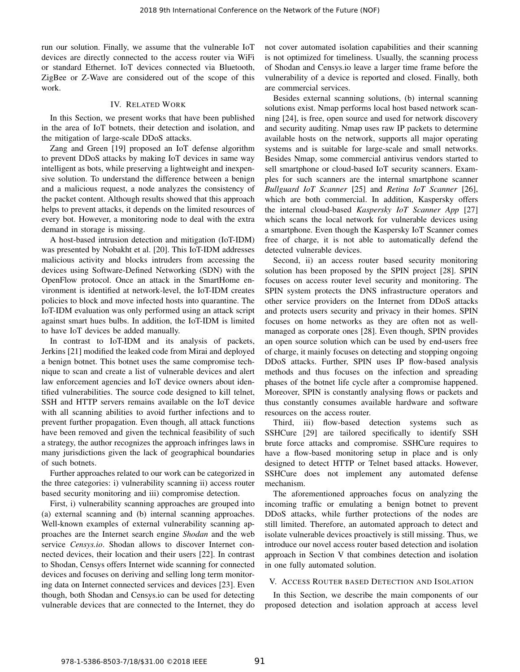run our solution. Finally, we assume that the vulnerable IoT devices are directly connected to the access router via WiFi or standard Ethernet. IoT devices connected via Bluetooth, ZigBee or Z-Wave are considered out of the scope of this work.

## IV. RELATED WORK

In this Section, we present works that have been published in the area of IoT botnets, their detection and isolation, and the mitigation of large-scale DDoS attacks.

Zang and Green [19] proposed an IoT defense algorithm to prevent DDoS attacks by making IoT devices in same way intelligent as bots, while preserving a lightweight and inexpensive solution. To understand the difference between a benign and a malicious request, a node analyzes the consistency of the packet content. Although results showed that this approach helps to prevent attacks, it depends on the limited resources of every bot. However, a monitoring node to deal with the extra demand in storage is missing.

A host-based intrusion detection and mitigation (IoT-IDM) was presented by Nobakht et al. [20]. This IoT-IDM addresses malicious activity and blocks intruders from accessing the devices using Software-Defined Networking (SDN) with the OpenFlow protocol. Once an attack in the SmartHome environment is identified at network-level, the IoT-IDM creates policies to block and move infected hosts into quarantine. The IoT-IDM evaluation was only performed using an attack script against smart hues bulbs. In addition, the IoT-IDM is limited to have IoT devices be added manually.

In contrast to IoT-IDM and its analysis of packets, Jerkins [21] modified the leaked code from Mirai and deployed a benign botnet. This botnet uses the same compromise technique to scan and create a list of vulnerable devices and alert law enforcement agencies and IoT device owners about identified vulnerabilities. The source code designed to kill telnet, SSH and HTTP servers remains available on the IoT device with all scanning abilities to avoid further infections and to prevent further propagation. Even though, all attack functions have been removed and given the technical feasibility of such a strategy, the author recognizes the approach infringes laws in many jurisdictions given the lack of geographical boundaries of such botnets.

Further approaches related to our work can be categorized in the three categories: i) vulnerability scanning ii) access router based security monitoring and iii) compromise detection.

First, i) vulnerability scanning approaches are grouped into (a) external scanning and (b) internal scanning approaches. Well-known examples of external vulnerability scanning approaches are the Internet search engine *Shodan* and the web service *Censys.io*. Shodan allows to discover Internet connected devices, their location and their users [22]. In contrast to Shodan, Censys offers Internet wide scanning for connected devices and focuses on deriving and selling long term monitoring data on Internet connected services and devices [23]. Even though, both Shodan and Censys.io can be used for detecting vulnerable devices that are connected to the Internet, they do not cover automated isolation capabilities and their scanning is not optimized for timeliness. Usually, the scanning process of Shodan and Censys.io leave a larger time frame before the vulnerability of a device is reported and closed. Finally, both are commercial services.

Besides external scanning solutions, (b) internal scanning solutions exist. Nmap performs local host based network scanning [24], is free, open source and used for network discovery and security auditing. Nmap uses raw IP packets to determine available hosts on the network, supports all major operating systems and is suitable for large-scale and small networks. Besides Nmap, some commercial antivirus vendors started to sell smartphone or cloud-based IoT security scanners. Examples for such scanners are the internal smartphone scanner *Bullguard IoT Scanner* [25] and *Retina IoT Scanner* [26], which are both commercial. In addition, Kaspersky offers the internal cloud-based *Kaspersky IoT Scanner App* [27] which scans the local network for vulnerable devices using a smartphone. Even though the Kaspersky IoT Scanner comes free of charge, it is not able to automatically defend the detected vulnerable devices.

Second, ii) an access router based security monitoring solution has been proposed by the SPIN project [28]. SPIN focuses on access router level security and monitoring. The SPIN system protects the DNS infrastructure operators and other service providers on the Internet from DDoS attacks and protects users security and privacy in their homes. SPIN focuses on home networks as they are often not as wellmanaged as corporate ones [28]. Even though, SPIN provides an open source solution which can be used by end-users free of charge, it mainly focuses on detecting and stopping ongoing DDoS attacks. Further, SPIN uses IP flow-based analysis methods and thus focuses on the infection and spreading phases of the botnet life cycle after a compromise happened. Moreover, SPIN is constantly analysing flows or packets and thus constantly consumes available hardware and software resources on the access router.

Third, iii) flow-based detection systems such as SSHCure [29] are tailored specifically to identify SSH brute force attacks and compromise. SSHCure requires to have a flow-based monitoring setup in place and is only designed to detect HTTP or Telnet based attacks. However, SSHCure does not implement any automated defense mechanism.

The aforementioned approaches focus on analyzing the incoming traffic or emulating a benign botnet to prevent DDoS attacks, while further protections of the nodes are still limited. Therefore, an automated approach to detect and isolate vulnerable devices proactively is still missing. Thus, we introduce our novel access router based detection and isolation approach in Section V that combines detection and isolation in one fully automated solution.

## V. ACCESS ROUTER BASED DETECTION AND ISOLATION

In this Section, we describe the main components of our proposed detection and isolation approach at access level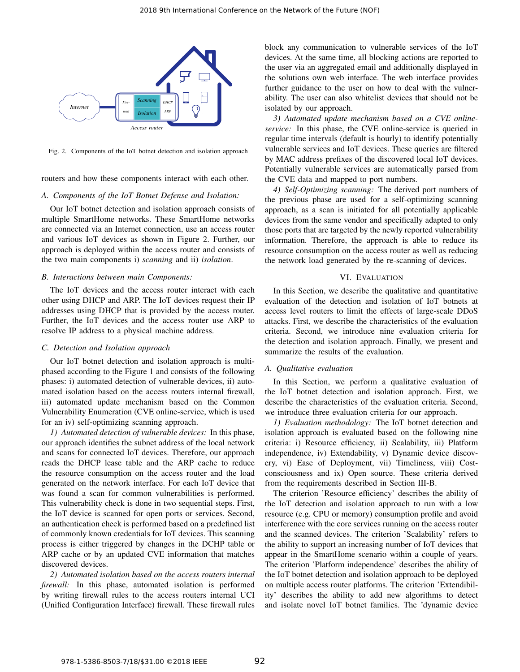

Fig. 2. Components of the IoT botnet detection and isolation approach

routers and how these components interact with each other.

## *A. Components of the IoT Botnet Defense and Isolation:*

Our IoT botnet detection and isolation approach consists of multiple SmartHome networks. These SmartHome networks are connected via an Internet connection, use an access router and various IoT devices as shown in Figure 2. Further, our approach is deployed within the access router and consists of the two main components i) *scanning* and ii) *isolation*.

#### *B. Interactions between main Components:*

The IoT devices and the access router interact with each other using DHCP and ARP. The IoT devices request their IP addresses using DHCP that is provided by the access router. Further, the IoT devices and the access router use ARP to resolve IP address to a physical machine address.

#### *C. Detection and Isolation approach*

Our IoT botnet detection and isolation approach is multiphased according to the Figure 1 and consists of the following phases: i) automated detection of vulnerable devices, ii) automated isolation based on the access routers internal firewall, iii) automated update mechanism based on the Common Vulnerability Enumeration (CVE online-service, which is used for an iv) self-optimizing scanning approach.

*1) Automated detection of vulnerable devices:* In this phase, our approach identifies the subnet address of the local network and scans for connected IoT devices. Therefore, our approach reads the DHCP lease table and the ARP cache to reduce the resource consumption on the access router and the load generated on the network interface. For each IoT device that was found a scan for common vulnerabilities is performed. This vulnerability check is done in two sequential steps. First, the IoT device is scanned for open ports or services. Second, an authentication check is performed based on a predefined list of commonly known credentials for IoT devices. This scanning process is either triggered by changes in the DCHP table or ARP cache or by an updated CVE information that matches discovered devices.

*2) Automated isolation based on the access routers internal firewall:* In this phase, automated isolation is performed by writing firewall rules to the access routers internal UCI (Unified Configuration Interface) firewall. These firewall rules

block any communication to vulnerable services of the IoT devices. At the same time, all blocking actions are reported to the user via an aggregated email and additionally displayed in the solutions own web interface. The web interface provides further guidance to the user on how to deal with the vulnerability. The user can also whitelist devices that should not be isolated by our approach.

*3) Automated update mechanism based on a CVE onlineservice:* In this phase, the CVE online-service is queried in regular time intervals (default is hourly) to identify potentially vulnerable services and IoT devices. These queries are filtered by MAC address prefixes of the discovered local IoT devices. Potentially vulnerable services are automatically parsed from the CVE data and mapped to port numbers.

*4) Self-Optimizing scanning:* The derived port numbers of the previous phase are used for a self-optimizing scanning approach, as a scan is initiated for all potentially applicable devices from the same vendor and specifically adapted to only those ports that are targeted by the newly reported vulnerability information. Therefore, the approach is able to reduce its resource consumption on the access router as well as reducing the network load generated by the re-scanning of devices.

# VI. EVALUATION

In this Section, we describe the qualitative and quantitative evaluation of the detection and isolation of IoT botnets at access level routers to limit the effects of large-scale DDoS attacks. First, we describe the characteristics of the evaluation criteria. Second, we introduce nine evaluation criteria for the detection and isolation approach. Finally, we present and summarize the results of the evaluation.

## *A. Qualitative evaluation*

In this Section, we perform a qualitative evaluation of the IoT botnet detection and isolation approach. First, we describe the characteristics of the evaluation criteria. Second, we introduce three evaluation criteria for our approach.

*1) Evaluation methodology:* The IoT botnet detection and isolation approach is evaluated based on the following nine criteria: i) Resource efficiency, ii) Scalability, iii) Platform independence, iv) Extendability, v) Dynamic device discovery, vi) Ease of Deployment, vii) Timeliness, viii) Costconsciousness and ix) Open source. These criteria derived from the requirements described in Section III-B.

The criterion 'Resource efficiency' describes the ability of the IoT detection and isolation approach to run with a low resource (e.g. CPU or memory) consumption profile and avoid interference with the core services running on the access router and the scanned devices. The criterion 'Scalability' refers to the ability to support an increasing number of IoT devices that appear in the SmartHome scenario within a couple of years. The criterion 'Platform independence' describes the ability of the IoT botnet detection and isolation approach to be deployed on multiple access router platforms. The criterion 'Extendibility' describes the ability to add new algorithms to detect and isolate novel IoT botnet families. The 'dynamic device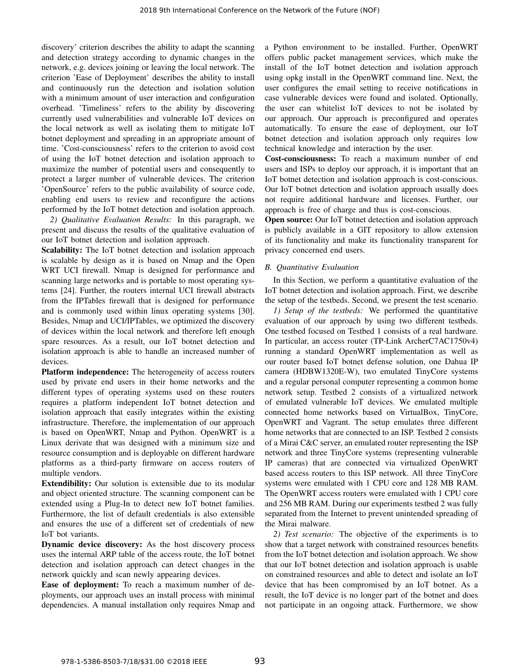discovery' criterion describes the ability to adapt the scanning and detection strategy according to dynamic changes in the network, e.g. devices joining or leaving the local network. The criterion 'Ease of Deployment' describes the ability to install and continuously run the detection and isolation solution with a minimum amount of user interaction and configuration overhead. 'Timeliness' refers to the ability by discovering currently used vulnerabilities and vulnerable IoT devices on the local network as well as isolating them to mitigate IoT botnet deployment and spreading in an appropriate amount of time. 'Cost-consciousness' refers to the criterion to avoid cost of using the IoT botnet detection and isolation approach to maximize the number of potential users and consequently to protect a larger number of vulnerable devices. The criterion 'OpenSource' refers to the public availability of source code, enabling end users to review and reconfigure the actions performed by the IoT botnet detection and isolation approach.

*2) Qualitative Evaluation Results:* In this paragraph, we present and discuss the results of the qualitative evaluation of our IoT botnet detection and isolation approach.

Scalability: The IoT botnet detection and isolation approach is scalable by design as it is based on Nmap and the Open WRT UCI firewall. Nmap is designed for performance and scanning large networks and is portable to most operating systems [24]. Further, the routers internal UCI firewall abstracts from the IPTables firewall that is designed for performance and is commonly used within linux operating systems [30]. Besides, Nmap and UCI/IPTables, we optimized the discovery of devices within the local network and therefore left enough spare resources. As a result, our IoT botnet detection and isolation approach is able to handle an increased number of devices.

Platform independence: The heterogeneity of access routers used by private end users in their home networks and the different types of operating systems used on these routers requires a platform independent IoT botnet detection and isolation approach that easily integrates within the existing infrastructure. Therefore, the implementation of our approach is based on OpenWRT, Nmap and Python. OpenWRT is a Linux derivate that was designed with a minimum size and resource consumption and is deployable on different hardware platforms as a third-party firmware on access routers of multiple vendors.

Extendibility: Our solution is extensible due to its modular and object oriented structure. The scanning component can be extended using a Plug-In to detect new IoT botnet families. Furthermore, the list of default credentials is also extensible and ensures the use of a different set of credentials of new IoT bot variants.

Dynamic device discovery: As the host discovery process uses the internal ARP table of the access route, the IoT botnet detection and isolation approach can detect changes in the network quickly and scan newly appearing devices.

Ease of deployment: To reach a maximum number of deployments, our approach uses an install process with minimal dependencies. A manual installation only requires Nmap and a Python environment to be installed. Further, OpenWRT offers public packet management services, which make the install of the IoT botnet detection and isolation approach using opkg install in the OpenWRT command line. Next, the user configures the email setting to receive notifications in case vulnerable devices were found and isolated. Optionally, the user can whitelist IoT devices to not be isolated by our approach. Our approach is preconfigured and operates automatically. To ensure the ease of deployment, our IoT botnet detection and isolation approach only requires low technical knowledge and interaction by the user.

Cost-consciousness: To reach a maximum number of end users and ISPs to deploy our approach, it is important that an IoT botnet detection and isolation approach is cost-conscious. Our IoT botnet detection and isolation approach usually does not require additional hardware and licenses. Further, our approach is free of charge and thus is cost-conscious.

Open source: Our IoT botnet detection and isolation approach is publicly available in a GIT repository to allow extension of its functionality and make its functionality transparent for privacy concerned end users.

# *B. Quantitative Evaluation*

In this Section, we perform a quantitative evaluation of the IoT botnet detection and isolation approach. First, we describe the setup of the testbeds. Second, we present the test scenario.

*1) Setup of the testbeds:* We performed the quantitative evaluation of our approach by using two different testbeds. One testbed focused on Testbed 1 consists of a real hardware. In particular, an access router (TP-Link ArcherC7AC1750v4) running a standard OpenWRT implementation as well as our router based IoT botnet defense solution, one Dahua IP camera (HDBW1320E-W), two emulated TinyCore systems and a regular personal computer representing a common home network setup. Testbed 2 consists of a virtualized network of emulated vulnerable IoT devices. We emulated multiple connected home networks based on VirtualBox, TinyCore, OpenWRT and Vagrant. The setup emulates three different home networks that are connected to an ISP. Testbed 2 consists of a Mirai C&C server, an emulated router representing the ISP network and three TinyCore systems (representing vulnerable IP cameras) that are connected via virtualized OpenWRT based access routers to this ISP network. All three TinyCore systems were emulated with 1 CPU core and 128 MB RAM. The OpenWRT access routers were emulated with 1 CPU core and 256 MB RAM. During our experiments testbed 2 was fully separated from the Internet to prevent unintended spreading of the Mirai malware.

*2) Test scenario:* The objective of the experiments is to show that a target network with constrained resources benefits from the IoT botnet detection and isolation approach. We show that our IoT botnet detection and isolation approach is usable on constrained resources and able to detect and isolate an IoT device that has been compromised by an IoT botnet. As a result, the IoT device is no longer part of the botnet and does not participate in an ongoing attack. Furthermore, we show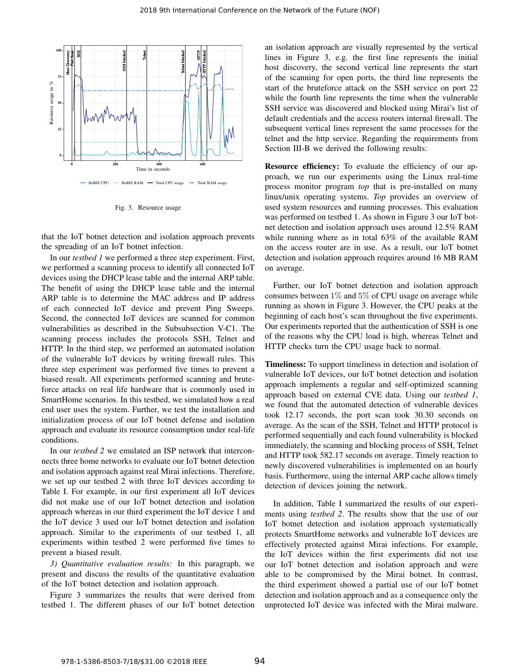

Fig. 3. Resource usage

that the IoT botnet detection and isolation approach prevents the spreading of an IoT botnet infection.

In our *testbed 1* we performed a three step experiment. First, we performed a scanning process to identify all connected IoT devices using the DHCP lease table and the internal ARP table. The benefit of using the DHCP lease table and the internal ARP table is to determine the MAC address and IP address of each connected IoT device and prevent Ping Sweeps. Second, the connected IoT devices are scanned for common vulnerabilities as described in the Subsubsection V-C1. The scanning process includes the protocols SSH, Telnet and HTTP. In the third step, we performed an automated isolation of the vulnerable IoT devices by writing firewall rules. This three step experiment was performed five times to prevent a biased result. All experiments performed scanning and bruteforce attacks on real life hardware that is commonly used in SmartHome scenarios. In this testbed, we simulated how a real end user uses the system. Further, we test the installation and initialization process of our IoT botnet defense and isolation approach and evaluate its resource consumption under real-life conditions.

In our *testbed 2* we emulated an ISP network that interconnects three home networks to evaluate our IoT botnet detection and isolation approach against real Mirai infections. Therefore, we set up our testbed 2 with three IoT devices according to Table I. For example, in our first experiment all IoT devices did not make use of our IoT botnet detection and isolation approach whereas in our third experiment the IoT device 1 and the IoT device 3 used our IoT botnet detection and isolation approach. Similar to the experiments of our testbed 1, all experiments within testbed 2 were performed five times to prevent a biased result.

*3) Quantitative evaluation results:* In this paragraph, we present and discuss the results of the quantitative evaluation of the IoT botnet detection and isolation approach.

Figure 3 summarizes the results that were derived from testbed 1. The different phases of our IoT botnet detection an isolation approach are visually represented by the vertical lines in Figure 3, e.g. the first line represents the initial host discovery, the second vertical line represents the start of the scanning for open ports, the third line represents the start of the bruteforce attack on the SSH service on port 22 while the fourth line represents the time when the vulnerable SSH service was discovered and blocked using Mirai's list of default credentials and the access routers internal firewall. The subsequent vertical lines represent the same processes for the telnet and the http service. Regarding the requirements from Section III-B we derived the following results:

Resource efficiency: To evaluate the efficiency of our approach, we run our experiments using the Linux real-time process monitor program *top* that is pre-installed on many linux/unix operating systems. *Top* provides an overview of used system resources and running processes. This evaluation was performed on testbed 1. As shown in Figure 3 our IoT botnet detection and isolation approach uses around 12.5% RAM while running where as in total 63% of the available RAM on the access router are in use. As a result, our IoT botnet detection and isolation approach requires around 16 MB RAM on average.

Further, our IoT botnet detection and isolation approach consumes between  $1\%$  and  $5\%$  of CPU usage on average while running as shown in Figure 3. However, the CPU peaks at the beginning of each host's scan throughout the five experiments. Our experiments reported that the authentication of SSH is one of the reasons why the CPU load is high, whereas Telnet and HTTP checks turn the CPU usage back to normal.

Timeliness: To support timeliness in detection and isolation of vulnerable IoT devices, our IoT botnet detection and isolation approach implements a regular and self-optimized scanning approach based on external CVE data. Using our *testbed 1*, we found that the automated detection of vulnerable devices took 12.17 seconds, the port scan took 30.30 seconds on average. As the scan of the SSH, Telnet and HTTP protocol is performed sequentially and each found vulnerability is blocked immediately, the scanning and blocking process of SSH, Telnet and HTTP took 582.17 seconds on average. Timely reaction to newly discovered vulnerabilities is implemented on an hourly basis. Furthermore, using the internal ARP cache allows timely detection of devices joining the network.

In addition, Table I summarized the results of our experiments using *testbed 2*. The results show that the use of our IoT botnet detection and isolation approach systematically protects SmartHome networks and vulnerable IoT devices are effectively protected against Mirai infections. For example, the IoT devices within the first experiments did not use our IoT botnet detection and isolation approach and were able to be compromised by the Mirai botnet. In contrast, the third experiment showed a partial use of our IoT botnet detection and isolation approach and as a consequence only the unprotected IoT device was infected with the Mirai malware.